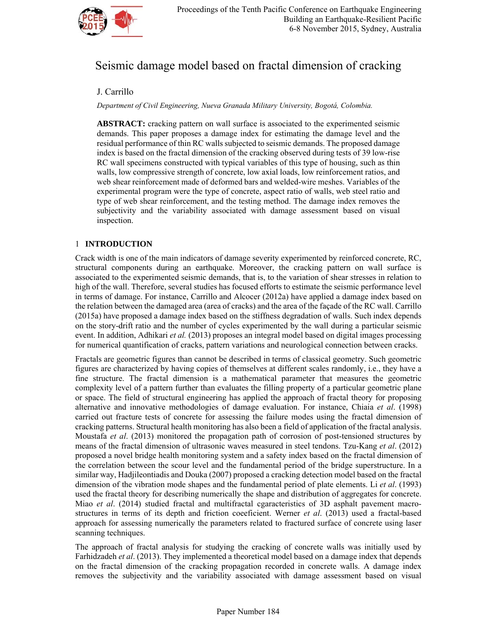

# Seismic damage model based on fractal dimension of cracking

## J. Carrillo

*Department of Civil Engineering, Nueva Granada Military University, Bogotá, Colombia.* 

**ABSTRACT:** cracking pattern on wall surface is associated to the experimented seismic demands. This paper proposes a damage index for estimating the damage level and the residual performance of thin RC walls subjected to seismic demands. The proposed damage index is based on the fractal dimension of the cracking observed during tests of 39 low-rise RC wall specimens constructed with typical variables of this type of housing, such as thin walls, low compressive strength of concrete, low axial loads, low reinforcement ratios, and web shear reinforcement made of deformed bars and welded-wire meshes. Variables of the experimental program were the type of concrete, aspect ratio of walls, web steel ratio and type of web shear reinforcement, and the testing method. The damage index removes the subjectivity and the variability associated with damage assessment based on visual inspection.

## 1 **INTRODUCTION**

Crack width is one of the main indicators of damage severity experimented by reinforced concrete, RC, structural components during an earthquake. Moreover, the cracking pattern on wall surface is associated to the experimented seismic demands, that is, to the variation of shear stresses in relation to high of the wall. Therefore, several studies has focused efforts to estimate the seismic performance level in terms of damage. For instance, Carrillo and Alcocer (2012a) have applied a damage index based on the relation between the damaged area (area of cracks) and the area of the façade of the RC wall. Carrillo (2015a) have proposed a damage index based on the stiffness degradation of walls. Such index depends on the story-drift ratio and the number of cycles experimented by the wall during a particular seismic event. In addition, Adhikari *et al.* (2013) proposes an integral model based on digital images processing for numerical quantification of cracks, pattern variations and neurological connection between cracks.

Fractals are geometric figures than cannot be described in terms of classical geometry. Such geometric figures are characterized by having copies of themselves at different scales randomly, i.e., they have a fine structure. The fractal dimension is a mathematical parameter that measures the geometric complexity level of a pattern further than evaluates the filling property of a particular geometric plane or space. The field of structural engineering has applied the approach of fractal theory for proposing alternative and innovative methodologies of damage evaluation. For instance, Chiaia *et al*. (1998) carried out fracture tests of concrete for assessing the failure modes using the fractal dimension of cracking patterns. Structural health monitoring has also been a field of application of the fractal analysis. Moustafa *et al*. (2013) monitored the propagation path of corrosion of post-tensioned structures by means of the fractal dimension of ultrasonic waves measured in steel tendons. Tzu-Kang *et al*. (2012) proposed a novel bridge health monitoring system and a safety index based on the fractal dimension of the correlation between the scour level and the fundamental period of the bridge superstructure. In a similar way, Hadjileontiadis and Douka (2007) proposed a cracking detection model based on the fractal dimension of the vibration mode shapes and the fundamental period of plate elements. Li *et al*. (1993) used the fractal theory for describing numerically the shape and distribution of aggregates for concrete. Miao *et al*. (2014) studied fractal and multifractal cgaracteristics of 3D asphalt pavement macrostructures in terms of its depth and friction coeeficient. Werner *et al*. (2013) used a fractal-based approach for assessing numerically the parameters related to fractured surface of concrete using laser scanning techniques.

The approach of fractal analysis for studying the cracking of concrete walls was initially used by Farhidzadeh *et al*. (2013). They implemented a theoretical model based on a damage index that depends on the fractal dimension of the cracking propagation recorded in concrete walls. A damage index removes the subjectivity and the variability associated with damage assessment based on visual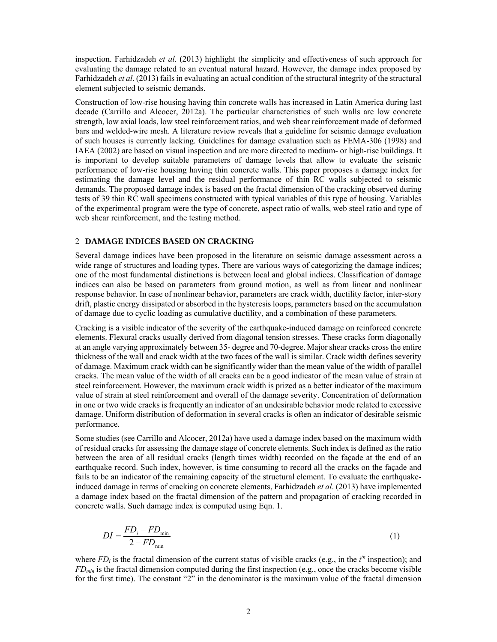inspection. Farhidzadeh *et al*. (2013) highlight the simplicity and effectiveness of such approach for evaluating the damage related to an eventual natural hazard. However, the damage index proposed by Farhidzadeh *et al*. (2013) fails in evaluating an actual condition of the structural integrity of the structural element subjected to seismic demands.

Construction of low-rise housing having thin concrete walls has increased in Latin America during last decade (Carrillo and Alcocer, 2012a). The particular characteristics of such walls are low concrete strength, low axial loads, low steel reinforcement ratios, and web shear reinforcement made of deformed bars and welded-wire mesh. A literature review reveals that a guideline for seismic damage evaluation of such houses is currently lacking. Guidelines for damage evaluation such as FEMA-306 (1998) and IAEA (2002) are based on visual inspection and are more directed to medium- or high-rise buildings. It is important to develop suitable parameters of damage levels that allow to evaluate the seismic performance of low-rise housing having thin concrete walls. This paper proposes a damage index for estimating the damage level and the residual performance of thin RC walls subjected to seismic demands. The proposed damage index is based on the fractal dimension of the cracking observed during tests of 39 thin RC wall specimens constructed with typical variables of this type of housing. Variables of the experimental program were the type of concrete, aspect ratio of walls, web steel ratio and type of web shear reinforcement, and the testing method.

## 2 **DAMAGE INDICES BASED ON CRACKING**

Several damage indices have been proposed in the literature on seismic damage assessment across a wide range of structures and loading types. There are various ways of categorizing the damage indices; one of the most fundamental distinctions is between local and global indices. Classification of damage indices can also be based on parameters from ground motion, as well as from linear and nonlinear response behavior. In case of nonlinear behavior, parameters are crack width, ductility factor, inter-story drift, plastic energy dissipated or absorbed in the hysteresis loops, parameters based on the accumulation of damage due to cyclic loading as cumulative ductility, and a combination of these parameters.

Cracking is a visible indicator of the severity of the earthquake-induced damage on reinforced concrete elements. Flexural cracks usually derived from diagonal tension stresses. These cracks form diagonally at an angle varying approximately between 35- degree and 70-degree. Major shear cracks cross the entire thickness of the wall and crack width at the two faces of the wall is similar. Crack width defines severity of damage. Maximum crack width can be significantly wider than the mean value of the width of parallel cracks. The mean value of the width of all cracks can be a good indicator of the mean value of strain at steel reinforcement. However, the maximum crack width is prized as a better indicator of the maximum value of strain at steel reinforcement and overall of the damage severity. Concentration of deformation in one or two wide cracks is frequently an indicator of an undesirable behavior mode related to excessive damage. Uniform distribution of deformation in several cracks is often an indicator of desirable seismic performance.

Some studies (see Carrillo and Alcocer, 2012a) have used a damage index based on the maximum width of residual cracks for assessing the damage stage of concrete elements. Such index is defined as the ratio between the area of all residual cracks (length times width) recorded on the façade at the end of an earthquake record. Such index, however, is time consuming to record all the cracks on the façade and fails to be an indicator of the remaining capacity of the structural element. To evaluate the earthquakeinduced damage in terms of cracking on concrete elements, Farhidzadeh *et al*. (2013) have implemented a damage index based on the fractal dimension of the pattern and propagation of cracking recorded in concrete walls. Such damage index is computed using Eqn. 1.

$$
DI = \frac{FD_i - FD_{\min}}{2 - FD_{\min}}\tag{1}
$$

where  $FD_i$  is the fractal dimension of the current status of visible cracks (e.g., in the  $i<sup>th</sup>$  inspection); and *FDmin* is the fractal dimension computed during the first inspection (e.g., once the cracks become visible for the first time). The constant "2" in the denominator is the maximum value of the fractal dimension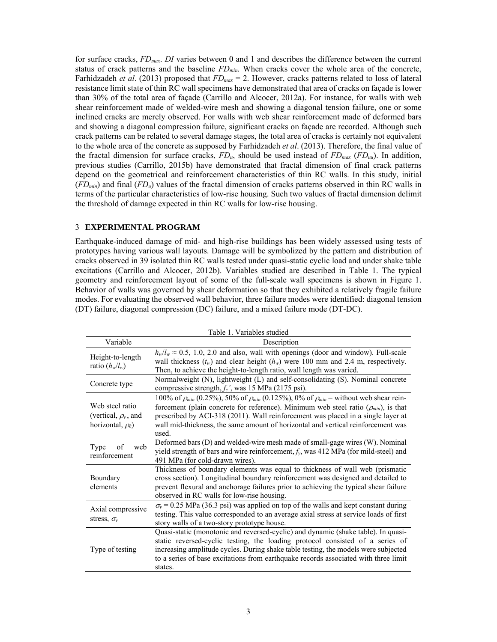for surface cracks, *FDmax*. *DI* varies between 0 and 1 and describes the difference between the current status of crack patterns and the baseline *FDmin*. When cracks cover the whole area of the concrete, Farhidzadeh *et al*. (2013) proposed that *FDmax* = 2. However, cracks patterns related to loss of lateral resistance limit state of thin RC wall specimens have demonstrated that area of cracks on façade is lower than 30% of the total area of façade (Carrillo and Alcocer, 2012a). For instance, for walls with web shear reinforcement made of welded-wire mesh and showing a diagonal tension failure, one or some inclined cracks are merely observed. For walls with web shear reinforcement made of deformed bars and showing a diagonal compression failure, significant cracks on façade are recorded. Although such crack patterns can be related to several damage stages, the total area of cracks is certainly not equivalent to the whole area of the concrete as supposed by Farhidzadeh *et al*. (2013). Therefore, the final value of the fractal dimension for surface cracks, *FDu*, should be used instead of *FDmax* (*FDuu*). In addition, previous studies (Carrillo, 2015b) have demonstrated that fractal dimension of final crack patterns depend on the geometrical and reinforcement characteristics of thin RC walls. In this study, initial (*FDmin*) and final (*FDu*) values of the fractal dimension of cracks patterns observed in thin RC walls in terms of the particular characteristics of low-rise housing. Such two values of fractal dimension delimit the threshold of damage expected in thin RC walls for low-rise housing.

## 3 **EXPERIMENTAL PROGRAM**

Earthquake-induced damage of mid- and high-rise buildings has been widely assessed using tests of prototypes having various wall layouts. Damage will be symbolized by the pattern and distribution of cracks observed in 39 isolated thin RC walls tested under quasi-static cyclic load and under shake table excitations (Carrillo and Alcocer, 2012b). Variables studied are described in Table 1. The typical geometry and reinforcement layout of some of the full-scale wall specimens is shown in Figure 1. Behavior of walls was governed by shear deformation so that they exhibited a relatively fragile failure modes. For evaluating the observed wall behavior, three failure modes were identified: diagonal tension (DT) failure, diagonal compression (DC) failure, and a mixed failure mode (DT-DC).

| Table 1. Variables studied                                                        |                                                                                                                                                                                                                                                                                                                                                                                         |  |  |  |  |  |  |
|-----------------------------------------------------------------------------------|-----------------------------------------------------------------------------------------------------------------------------------------------------------------------------------------------------------------------------------------------------------------------------------------------------------------------------------------------------------------------------------------|--|--|--|--|--|--|
| Variable                                                                          | Description                                                                                                                                                                                                                                                                                                                                                                             |  |  |  |  |  |  |
| Height-to-length<br>ratio $(h_w/l_w)$                                             | $h_w/l_w \approx 0.5$ , 1.0, 2.0 and also, wall with openings (door and window). Full-scale<br>wall thickness $(t_w)$ and clear height $(h_w)$ were 100 mm and 2.4 m, respectively.<br>Then, to achieve the height-to-length ratio, wall length was varied.                                                                                                                             |  |  |  |  |  |  |
| Concrete type                                                                     | Normalweight (N), lightweight (L) and self-consolidating (S). Nominal concrete<br>compressive strength, $f_c$ ', was 15 MPa (2175 psi).                                                                                                                                                                                                                                                 |  |  |  |  |  |  |
| Web steel ratio<br>(vertical, $\rho$ <sub>v</sub> , and<br>horizontal, $\rho_h$ ) | 100% of $\rho_{min}$ (0.25%), 50% of $\rho_{min}$ (0.125%), 0% of $\rho_{min}$ = without web shear rein-<br>forcement (plain concrete for reference). Minimum web steel ratio $(\rho_{min})$ , is that<br>prescribed by ACI-318 (2011). Wall reinforcement was placed in a single layer at<br>wall mid-thickness, the same amount of horizontal and vertical reinforcement was<br>used. |  |  |  |  |  |  |
| Type<br>of<br>web<br>reinforcement                                                | Deformed bars (D) and welded-wire mesh made of small-gage wires (W). Nominal<br>yield strength of bars and wire reinforcement, $f_v$ , was 412 MPa (for mild-steel) and<br>491 MPa (for cold-drawn wires).                                                                                                                                                                              |  |  |  |  |  |  |
| Boundary<br>elements                                                              | Thickness of boundary elements was equal to thickness of wall web (prismatic<br>cross section). Longitudinal boundary reinforcement was designed and detailed to<br>prevent flexural and anchorage failures prior to achieving the typical shear failure<br>observed in RC walls for low-rise housing.                                                                                  |  |  |  |  |  |  |
| Axial compressive<br>stress, $\sigma_{v}$                                         | $\sigma_{v}$ = 0.25 MPa (36.3 psi) was applied on top of the walls and kept constant during<br>testing. This value corresponded to an average axial stress at service loads of first<br>story walls of a two-story prototype house.                                                                                                                                                     |  |  |  |  |  |  |
| Type of testing                                                                   | Quasi-static (monotonic and reversed-cyclic) and dynamic (shake table). In quasi-<br>static reversed-cyclic testing, the loading protocol consisted of a series of<br>increasing amplitude cycles. During shake table testing, the models were subjected<br>to a series of base excitations from earthquake records associated with three limit<br>states.                              |  |  |  |  |  |  |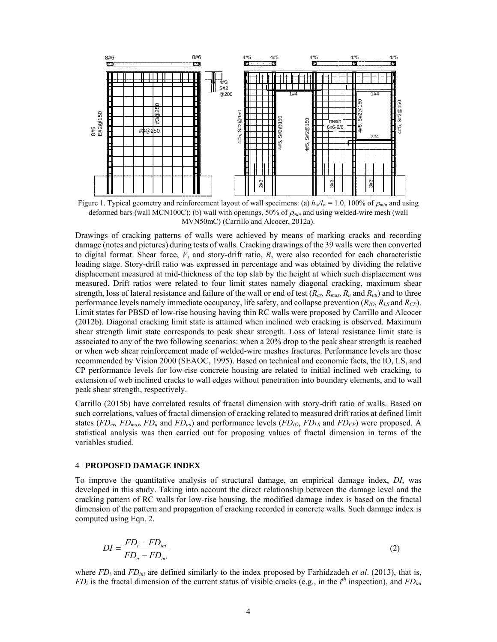

Figure 1. Typical geometry and reinforcement layout of wall specimens: (a)  $h_w/l_w = 1.0$ , 100% of  $\rho_{min}$  and using deformed bars (wall MCN100C); (b) wall with openings, 50% of *min* and using welded-wire mesh (wall MVN50mC) (Carrillo and Alcocer, 2012a).

Drawings of cracking patterns of walls were achieved by means of marking cracks and recording damage (notes and pictures) during tests of walls. Cracking drawings of the 39 walls were then converted to digital format. Shear force, *V*, and story-drift ratio, *R*, were also recorded for each characteristic loading stage. Story-drift ratio was expressed in percentage and was obtained by dividing the relative displacement measured at mid-thickness of the top slab by the height at which such displacement was measured. Drift ratios were related to four limit states namely diagonal cracking, maximum shear strength, loss of lateral resistance and failure of the wall or end of test (*Rcr, Rmax, Ru* and *Ruu*) and to three performance levels namely immediate occupancy, life safety, and collapse prevention (*RIO*, *RLS* and *RCP*). Limit states for PBSD of low-rise housing having thin RC walls were proposed by Carrillo and Alcocer (2012b). Diagonal cracking limit state is attained when inclined web cracking is observed. Maximum shear strength limit state corresponds to peak shear strength. Loss of lateral resistance limit state is associated to any of the two following scenarios: when a 20% drop to the peak shear strength is reached or when web shear reinforcement made of welded-wire meshes fractures. Performance levels are those recommended by Vision 2000 (SEAOC, 1995). Based on technical and economic facts, the IO, LS, and CP performance levels for low-rise concrete housing are related to initial inclined web cracking, to extension of web inclined cracks to wall edges without penetration into boundary elements, and to wall peak shear strength, respectively.

Carrillo (2015b) have correlated results of fractal dimension with story-drift ratio of walls. Based on such correlations, values of fractal dimension of cracking related to measured drift ratios at defined limit states (*FD<sub>cr</sub>, FD<sub>max</sub>, FD<sub>u</sub>* and *FD<sub>uu</sub>*) and performance levels (*FD<sub>IO</sub>*, *FD<sub>LS</sub>* and *FD<sub>CP</sub>*) were proposed. A statistical analysis was then carried out for proposing values of fractal dimension in terms of the variables studied.

#### 4 **PROPOSED DAMAGE INDEX**

To improve the quantitative analysis of structural damage, an empirical damage index, *DI*, was developed in this study. Taking into account the direct relationship between the damage level and the cracking pattern of RC walls for low-rise housing, the modified damage index is based on the fractal dimension of the pattern and propagation of cracking recorded in concrete walls. Such damage index is computed using Eqn. 2.

$$
DI = \frac{FD_i - FD_{ini}}{FD_u - FD_{ini}}\tag{2}
$$

where *FD<sub>i</sub>* and *FD<sub>ini</sub>* are defined similarly to the index proposed by Farhidzadeh *et al.* (2013), that is,  $FD_i$  is the fractal dimension of the current status of visible cracks (e.g., in the  $i<sup>th</sup>$  inspection), and  $FD_{ini}$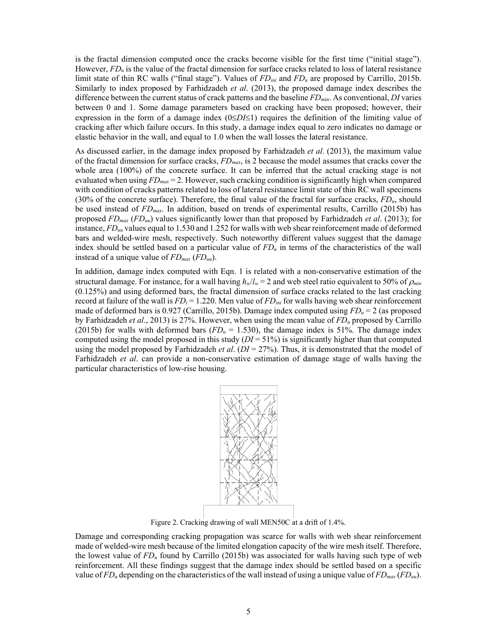is the fractal dimension computed once the cracks become visible for the first time ("initial stage"). However, *FD<sub>u</sub>* is the value of the fractal dimension for surface cracks related to loss of lateral resistance limit state of thin RC walls ("final stage"). Values of *FDini* and *FDu* are proposed by Carrillo, 2015b. Similarly to index proposed by Farhidzadeh *et al*. (2013), the proposed damage index describes the difference between the current status of crack patterns and the baseline *FDmin*. As conventional, *DI* varies between 0 and 1. Some damage parameters based on cracking have been proposed; however, their expression in the form of a damage index  $(0 \le D<sub>I</sub> \le 1)$  requires the definition of the limiting value of cracking after which failure occurs. In this study, a damage index equal to zero indicates no damage or elastic behavior in the wall, and equal to 1.0 when the wall losses the lateral resistance.

As discussed earlier, in the damage index proposed by Farhidzadeh *et al*. (2013), the maximum value of the fractal dimension for surface cracks, *FDmax*, is 2 because the model assumes that cracks cover the whole area (100%) of the concrete surface. It can be inferred that the actual cracking stage is not evaluated when using *FDmax* = 2. However, such cracking condition is significantly high when compared with condition of cracks patterns related to loss of lateral resistance limit state of thin RC wall specimens (30% of the concrete surface). Therefore, the final value of the fractal for surface cracks, *FDu*, should be used instead of *FDmax*. In addition, based on trends of experimental results, Carrillo (2015b) has proposed *FDmax* (*FDuu*) values significantly lower than that proposed by Farhidzadeh *et al*. (2013); for instance, *FDuu* values equal to 1.530 and 1.252 for walls with web shear reinforcement made of deformed bars and welded-wire mesh, respectively. Such noteworthy different values suggest that the damage index should be settled based on a particular value of  $FD_u$  in terms of the characteristics of the wall instead of a unique value of *FDmax* (*FDuu*).

In addition, damage index computed with Eqn. 1 is related with a non-conservative estimation of the structural damage. For instance, for a wall having  $h_w/l_w = 2$  and web steel ratio equivalent to 50% of  $\rho_{min}$ (0.125%) and using deformed bars, the fractal dimension of surface cracks related to the last cracking record at failure of the wall is *FDi* = 1.220. Men value of *FDini* for walls having web shear reinforcement made of deformed bars is 0.927 (Carrillo, 2015b). Damage index computed using *FDu* = 2 (as proposed by Farhidzadeh *et al*., 2013) is 27%. However, when using the mean value of *FDu* proposed by Carrillo (2015b) for walls with deformed bars  $(FD_u = 1.530)$ , the damage index is 51%. The damage index computed using the model proposed in this study (*DI* = 51%) is significantly higher than that computed using the model proposed by Farhidzadeh *et al*. (*DI* = 27%). Thus, it is demonstrated that the model of Farhidzadeh *et al*. can provide a non-conservative estimation of damage stage of walls having the particular characteristics of low-rise housing.



Figure 2. Cracking drawing of wall MEN50C at a drift of 1.4%.

Damage and corresponding cracking propagation was scarce for walls with web shear reinforcement made of welded-wire mesh because of the limited elongation capacity of the wire mesh itself. Therefore, the lowest value of *FDu* found by Carrillo (2015b) was associated for walls having such type of web reinforcement. All these findings suggest that the damage index should be settled based on a specific value of *FDu* depending on the characteristics of the wall instead of using a unique value of *FDmax* (*FDuu*).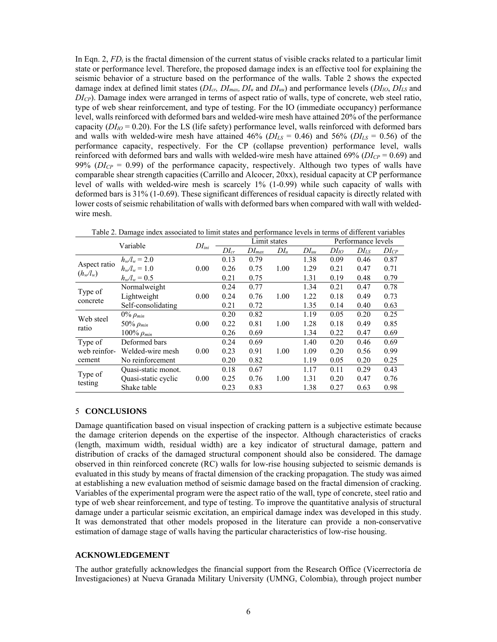In Eqn. 2, *FDi* is the fractal dimension of the current status of visible cracks related to a particular limit state or performance level. Therefore, the proposed damage index is an effective tool for explaining the seismic behavior of a structure based on the performance of the walls. Table 2 shows the expected damage index at defined limit states (*DIcr, DImax, DIu* and *DIuu*) and performance levels (*DIIO*, *DILS* and *DICP*). Damage index were arranged in terms of aspect ratio of walls, type of concrete, web steel ratio, type of web shear reinforcement, and type of testing. For the IO (immediate occupancy) performance level, walls reinforced with deformed bars and welded-wire mesh have attained 20% of the performance capacity  $(DI_{IO} = 0.20)$ . For the LS (life safety) performance level, walls reinforced with deformed bars and walls with welded-wire mesh have attained 46% ( $DI_{LS} = 0.46$ ) and 56% ( $DI_{LS} = 0.56$ ) of the performance capacity, respectively. For the CP (collapse prevention) performance level, walls reinforced with deformed bars and walls with welded-wire mesh have attained 69% ( $DI_{CP} = 0.69$ ) and 99% ( $DI_{CP}$  = 0.99) of the performance capacity, respectively. Although two types of walls have comparable shear strength capacities (Carrillo and Alcocer, 20xx), residual capacity at CP performance level of walls with welded-wire mesh is scarcely 1% (1-0.99) while such capacity of walls with deformed bars is 31% (1-0.69). These significant differences of residual capacity is directly related with lower costs of seismic rehabilitation of walls with deformed bars when compared with wall with weldedwire mesh.

| Variable                    |                     | $DI_{ini}$ | Limit states |            |        |           | Performance levels |           |           |
|-----------------------------|---------------------|------------|--------------|------------|--------|-----------|--------------------|-----------|-----------|
|                             |                     |            | $DI_{cr}$    | $DI_{max}$ | $DI_u$ | $DI_{uu}$ | $DI_{IO}$          | $DI_{LS}$ | $DI_{CP}$ |
| Aspect ratio<br>$(h_w/l_w)$ | $h_w/l_w = 2.0$     |            | 0.13         | 0.79       |        | 1.38      | 0.09               | 0.46      | 0.87      |
|                             | $h_w/l_w = 1.0$     | 0.00       | 0.26         | 0.75       | 1.00   | 1.29      | 0.21               | 0.47      | 0.71      |
|                             | $h_w/l_w = 0.5$     |            | 0.21         | 0.75       |        | 1.31      | 0.19               | 0.48      | 0.79      |
| Type of<br>concrete         | Normalweight        |            | 0.24         | 0.77       |        | 1.34      | 0.21               | 0.47      | 0.78      |
|                             | Lightweight         | 0.00       | 0.24         | 0.76       | 1.00   | 1.22      | 0.18               | 0.49      | 0.73      |
|                             | Self-consolidating  |            | 0.21         | 0.72       |        | 1.35      | 0.14               | 0.40      | 0.63      |
| Web steel<br>ratio          | $0\%$ $\rho_{min}$  |            | 0.20         | 0.82       |        | 1.19      | 0.05               | 0.20      | 0.25      |
|                             | 50% $\rho_{min}$    | 0.00       | 0.22         | 0.81       | 1.00   | 1.28      | 0.18               | 0.49      | 0.85      |
|                             | 100% $\rho_{min}$   |            | 0.26         | 0.69       |        | 1.34      | 0.22               | 0.47      | 0.69      |
| Type of                     | Deformed bars       |            | 0.24         | 0.69       |        | 1.40      | 0.20               | 0.46      | 0.69      |
| web reinfor-<br>cement      | Welded-wire mesh    | 0.00       | 0.23         | 0.91       | 1.00   | 1.09      | 0.20               | 0.56      | 0.99      |
|                             | No reinforcement    |            | 0.20         | 0.82       |        | 1.19      | 0.05               | 0.20      | 0.25      |
| Type of<br>testing          | Quasi-static monot. |            | 0.18         | 0.67       |        | 1.17      | 0.11               | 0.29      | 0.43      |
|                             | Quasi-static cyclic | 0.00       | 0.25         | 0.76       | 1.00   | 1.31      | 0.20               | 0.47      | 0.76      |
|                             | Shake table         |            | 0.23         | 0.83       |        | 1.38      | 0.27               | 0.63      | 0.98      |

Table 2. Damage index associated to limit states and performance levels in terms of different variables

#### 5 **CONCLUSIONS**

Damage quantification based on visual inspection of cracking pattern is a subjective estimate because the damage criterion depends on the expertise of the inspector. Although characteristics of cracks (length, maximum width, residual width) are a key indicator of structural damage, pattern and distribution of cracks of the damaged structural component should also be considered. The damage observed in thin reinforced concrete (RC) walls for low-rise housing subjected to seismic demands is evaluated in this study by means of fractal dimension of the cracking propagation. The study was aimed at establishing a new evaluation method of seismic damage based on the fractal dimension of cracking. Variables of the experimental program were the aspect ratio of the wall, type of concrete, steel ratio and type of web shear reinforcement, and type of testing. To improve the quantitative analysis of structural damage under a particular seismic excitation, an empirical damage index was developed in this study. It was demonstrated that other models proposed in the literature can provide a non-conservative estimation of damage stage of walls having the particular characteristics of low-rise housing.

#### **ACKNOWLEDGEMENT**

The author gratefully acknowledges the financial support from the Research Office (Vicerrectoría de Investigaciones) at Nueva Granada Military University (UMNG, Colombia), through project number